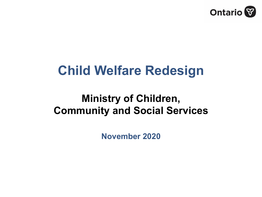

## **Child Welfare Redesign**

## **Ministry of Children, Community and Social Services**

**November 2020**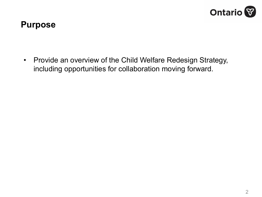

### **Purpose**

• Provide an overview of the Child Welfare Redesign Strategy, including opportunities for collaboration moving forward.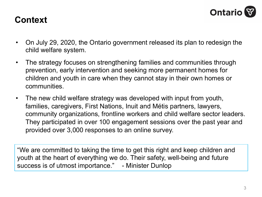

### **Context**

- On July 29, 2020, the Ontario government released its plan to redesign the child welfare system.
- The strategy focuses on strengthening families and communities through prevention, early intervention and seeking more permanent homes for children and youth in care when they cannot stay in their own homes or communities.
- The new child welfare strategy was developed with input from youth, families, caregivers, First Nations, Inuit and Métis partners, lawyers, community organizations, frontline workers and child welfare sector leaders. They participated in over 100 engagement sessions over the past year and provided over 3,000 responses to an online survey.

"We are committed to taking the time to get this right and keep children and youth at the heart of everything we do. Their safety, well-being and future success is of utmost importance." - Minister Dunlop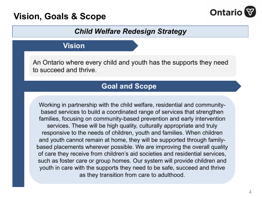### **Vision, Goals & Scope**



#### **Vision and Goals** *Child Welfare Redesign Strategy*

### **Vision**

An Ontario where every child and youth has the supports they need to succeed and thrive.

### **Goal and Scope**

Working in partnership with the child welfare, residential and communitybased services to build a coordinated range of services that strengthen families, focusing on community-based prevention and early intervention services. These will be high quality, culturally appropriate and truly responsive to the needs of children, youth and families. When children and youth cannot remain at home, they will be supported through familybased placements wherever possible. We are improving the overall quality of care they receive from children's aid societies and residential services, such as foster care or group homes. Our system will provide children and youth in care with the supports they need to be safe, succeed and thrive as they transition from care to adulthood.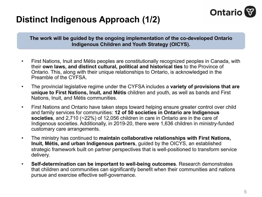

## **Distinct Indigenous Approach (1/2)**

**The work will be guided by the ongoing implementation of the co-developed Ontario Indigenous Children and Youth Strategy (OICYS).** 

- First Nations, Inuit and Métis peoples are constitutionally recognized peoples in Canada, with their **own laws, and distinct cultural, political and historical ties** to the Province of Ontario. This, along with their unique relationships to Ontario, is acknowledged in the Preamble of the CYFSA.
- The provincial legislative regime under the CYFSA includes a **variety of provisions that are unique to First Nations, Inuit, and Métis** children and youth, as well as bands and First Nations, Inuit, and Métis communities.
- First Nations and Ontario have taken steps toward helping ensure greater control over child and family services for communities: **12 of 50 societies in Ontario are Indigenous societies**, and 2,710 (~22%) of 12,056 children in care in Ontario are in the care of Indigenous societies. Additionally, in 2019-20, there were 1,636 children in ministry-funded customary care arrangements.
- The ministry has continued to **maintain collaborative relationships with First Nations, Inuit, Métis, and urban Indigenous partners**, guided by the OICYS, an established strategic framework built on partner perspectives that is well-positioned to transform service delivery.
- **Self-determination can be important to well-being outcomes**. Research demonstrates that children and communities can significantly benefit when their communities and nations pursue and exercise effective self-governance.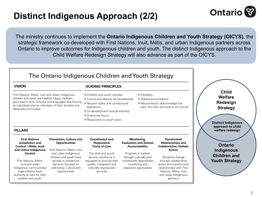## **Distinct Indigenous Approach (2/2)**



The ministry continues to implement the **Ontario Indigenous Children and Youth Strategy (OICYS)**, the strategic framework co-developed with First Nations, Inuit, Métis, and urban Indigenous partners across Ontario to improve outcomes for Indigenous children and youth. The distinct Indigenous approach to the Child Welfare Redesign Strategy will also advance as part of the OICYS.

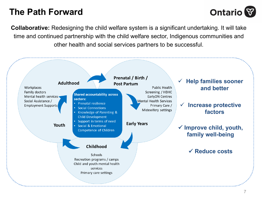## **The Path Forward**



**Collaborative:** Redesigning the child welfare system is a significant undertaking. It will take time and continued partnership with the child welfare sector, Indigenous communities and other health and social services partners to be successful.

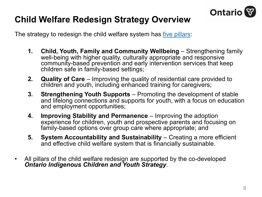## **Child Welfare Redesign Strategy Overview**

The strategy to redesign the child welfare system has five pillars:

- **1. Child, Youth, Family and Community Wellbeing Strengthening** well-being with higher quality, culturally appropriate and responsive community-based prevention and early intervention services that k children safe in family-based settings;
- **2.** Quality of Care Improving the quality of residential care provided children and youth, including enhanced training for caregivers;
- **3. Strengthening Youth Supports** Promoting the development of stable and lifelong connections and supports for youth, with a focus on ed and employment opportunities;
- **4. Improving Stability and Permanence**  Improving the adoption experience for children, youth and prospective parents and focusing family-based options over group care where appropriate; and
- **5.** System Accountability and Sustainability Creating a more efficient and effective child welfare system that is financially sustainable.
- All pillars of the child welfare redesign are supported by the co-develope *Ontario Indigenous Children and Youth Strategy*.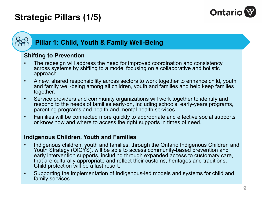## **Strategic Pillars (1/5)**



### **Pillar 1: Child, Youth & Family Well-Being**

### **Shifting to Prevention**

- The redesign will address the need for improved coordination and consistency across systems by shifting to a model focusing on a collaborative and holistic approach.
- A new, shared responsibility across sectors to work together to enhance child, youth and family well-being among all children, youth and families and help keep families together.
- Service providers and community organizations will work together to identify and respond to the needs of families early-on, including schools, early-years programs, parenting programs and health and mental health services.
- Families will be connected more quickly to appropriate and effective social supports or know how and where to access the right supports in times of need.

### **Indigenous Children, Youth and Families**

- Indigenous children, youth and families, through the Ontario Indigenous Children and Youth Strategy (OICYS), will be able to access community-based prevention and early intervention supports, including through expanded access to customary care, that are culturally appropriate and reflect their customs, heritages and traditions. Child protection will be a last resort.
- Supporting the implementation of Indigenous-led models and systems for child and family services.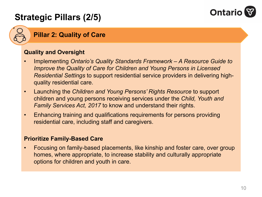## **Ontario**

## **Strategic Pillars (2/5)**

### **Pillar 2: Quality of Care**

### **Quality and Oversight**

- Implementing *Ontario's Quality Standards Framework – A Resource Guide to Improve the Quality of Care for Children and Young Persons in Licensed Residential Settings* to support residential service providers in delivering highquality residential care.
- Launching the *Children and Young Persons' Rights Resource* to support children and young persons receiving services under the *Child, Youth and Family Services Act, 2017* to know and understand their rights.
- Enhancing training and qualifications requirements for persons providing residential care, including staff and caregivers.

### **Prioritize Family-Based Care**

• Focusing on family-based placements, like kinship and foster care, over group homes, where appropriate, to increase stability and culturally appropriate options for children and youth in care.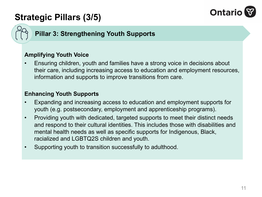## **Strategic Pillars (3/5)**



### **Pillar 3: Strengthening Youth Supports**

#### **Amplifying Youth Voice**

• Ensuring children, youth and families have a strong voice in decisions about their care, including increasing access to education and employment resources, information and supports to improve transitions from care.

#### **Enhancing Youth Supports**

- Expanding and increasing access to education and employment supports for youth (e.g. postsecondary, employment and apprenticeship programs).
- Providing youth with dedicated, targeted supports to meet their distinct needs and respond to their cultural identities. This includes those with disabilities and mental health needs as well as specific supports for Indigenous, Black, racialized and LGBTQ2S children and youth.
- Supporting youth to transition successfully to adulthood.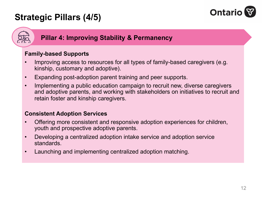## **Ontario**

## **Strategic Pillars (4/5)**



### **Pillar 4: Improving Stability & Permanency**

### **Family-based Supports**

- Improving access to resources for all types of family-based caregivers (e.g. kinship, customary and adoptive).
- Expanding post-adoption parent training and peer supports.
- Implementing a public education campaign to recruit new, diverse caregivers and adoptive parents, and working with stakeholders on initiatives to recruit and retain foster and kinship caregivers.

### **Consistent Adoption Services**

- Offering more consistent and responsive adoption experiences for children, youth and prospective adoptive parents.
- Developing a centralized adoption intake service and adoption service standards.
- Launching and implementing centralized adoption matching.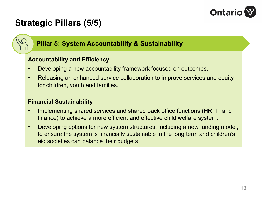

## **Strategic Pillars (5/5)**

### **Pillar 5: System Accountability & Sustainability**

#### **Accountability and Efficiency**

- Developing a new accountability framework focused on outcomes.
- Releasing an enhanced service collaboration to improve services and equity for children, youth and families.

### **Financial Sustainability**

- Implementing shared services and shared back office functions (HR, IT and finance) to achieve a more efficient and effective child welfare system.
- Developing options for new system structures, including a new funding model, to ensure the system is financially sustainable in the long term and children's aid societies can balance their budgets.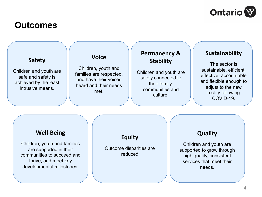

### **Outcomes**

### **Safety**

Children and youth are safe and safety is achieved by the least intrusive means.

### **Voice**

Children, youth and families are respected, and have their voices heard and their needs met.

### **Permanency & Stability**

Children and youth are safely connected to their family, communities and culture.

#### **Sustainability**

The sector is sustainable, efficient, effective, accountable and flexible enough to adjust to the new reality following COVID-19.

#### **Well-Being**

Children, youth and families are supported in their communities to succeed and thrive, and meet key developmental milestones.

### **Equity**

Outcome disparities are reduced

### **Quality**

Children and youth are supported to grow through high quality, consistent services that meet their needs.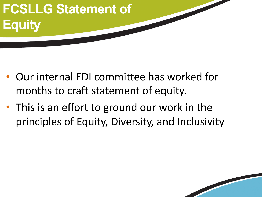## **FCSLLG Statement of Equity**

- Our internal EDI committee has worked for months to craft statement of equity.
- This is an effort to ground our work in the principles of Equity, Diversity, and Inclusivity

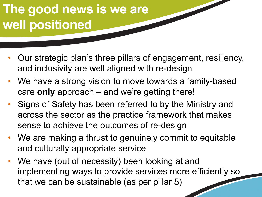## **The good news is we are well positioned**

- Our strategic plan's three pillars of engagement, resiliency, and inclusivity are well aligned with re-design
- We have a strong vision to move towards a family-based care **only** approach – and we're getting there!
- Signs of Safety has been referred to by the Ministry and across the sector as the practice framework that makes sense to achieve the outcomes of re-design
- We are making a thrust to genuinely commit to equitable and culturally appropriate service
- We have (out of necessity) been looking at and implementing ways to provide services more efficiently so that we can be sustainable (as per pillar 5)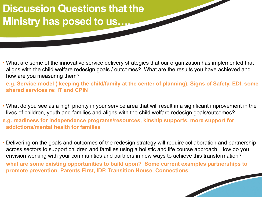• What are some of the innovative service delivery strategies that our organization has implemented that aligns with the child welfare redesign goals / outcomes? What are the results you have achieved and how are you measuring them?

**e.g. Service model ( keeping the child/family at the center of planning), Signs of Safety, EDI, some shared services re: IT and CPIN**

- What do you see as a high priority in your service area that will result in a significant improvement in the lives of children, youth and families and aligns with the child welfare redesign goals/outcomes?
- **e.g. readiness for independence programs/resources, kinship supports, more support for addictions/mental health for families**
- Delivering on the goals and outcomes of the redesign strategy will require collaboration and partnership across sectors to support children and families using a holistic and life course approach. How do you envision working with your communities and partners in new ways to achieve this transformation?

**what are some existing opportunities to build upon? Some current examples partnerships to promote prevention, Parents First, IDP, Transition House, Connections**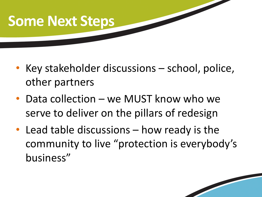# **Some Next Steps**

- Key stakeholder discussions school, police, other partners
- Data collection we MUST know who we serve to deliver on the pillars of redesign
- Lead table discussions how ready is the community to live "protection is everybody's business"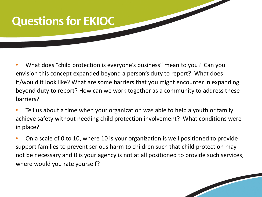## **Questions for EKIOC**

• What does "child protection is everyone's business" mean to you? Can you envision this concept expanded beyond a person's duty to report? What does it/would it look like? What are some barriers that you might encounter in expanding beyond duty to report? How can we work together as a community to address these barriers?

Tell us about a time when your organization was able to help a youth or family achieve safety without needing child protection involvement? What conditions were in place?

• On a scale of 0 to 10, where 10 is your organization is well positioned to provide support families to prevent serious harm to children such that child protection may not be necessary and 0 is your agency is not at all positioned to provide such services, where would you rate yourself?